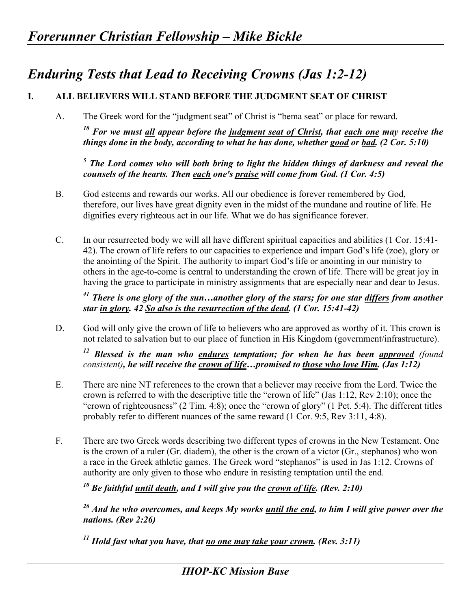## *Enduring Tests that Lead to Receiving Crowns (Jas 1:2-12)*

## **I. ALL BELIEVERS WILL STAND BEFORE THE JUDGMENT SEAT OF CHRIST**

A. The Greek word for the "judgment seat" of Christ is "bema seat" or place for reward.

*10 For we must all appear before the judgment seat of Christ, that each one may receive the things done in the body, according to what he has done, whether good or bad. (2 Cor. 5:10)* 

<sup>5</sup> The Lord comes who will both bring to light the hidden things of darkness and reveal the *counsels of the hearts. Then each one's praise will come from God. (1 Cor. 4:5)* 

- B. God esteems and rewards our works. All our obedience is forever remembered by God, therefore, our lives have great dignity even in the midst of the mundane and routine of life. He dignifies every righteous act in our life. What we do has significance forever.
- C. In our resurrected body we will all have different spiritual capacities and abilities (1 Cor. 15:41- 42). The crown of life refers to our capacities to experience and impart God's life (zoe), glory or the anointing of the Spirit. The authority to impart God's life or anointing in our ministry to others in the age-to-come is central to understanding the crown of life. There will be great joy in having the grace to participate in ministry assignments that are especially near and dear to Jesus.

*41 There is one glory of the sun…another glory of the stars; for one star differs from another star in glory. 42 So also is the resurrection of the dead. (1 Cor. 15:41-42)* 

D. God will only give the crown of life to believers who are approved as worthy of it. This crown is not related to salvation but to our place of function in His Kingdom (government/infrastructure).

*12 Blessed is the man who endures temptation; for when he has been approved (found consistent), he will receive the crown of life…promised to those who love Him. (Jas 1:12)* 

- E. There are nine NT references to the crown that a believer may receive from the Lord. Twice the crown is referred to with the descriptive title the "crown of life" (Jas 1:12, Rev 2:10); once the "crown of righteousness" (2 Tim. 4:8); once the "crown of glory" (1 Pet. 5:4). The different titles probably refer to different nuances of the same reward (1 Cor. 9:5, Rev 3:11, 4:8).
- F. There are two Greek words describing two different types of crowns in the New Testament. One is the crown of a ruler (Gr. diadem), the other is the crown of a victor (Gr., stephanos) who won a race in the Greek athletic games. The Greek word "stephanos" is used in Jas 1:12. Crowns of authority are only given to those who endure in resisting temptation until the end.

 $10<sup>10</sup>$  Be faithful until death, and I will give you the crown of life. (Rev. 2:10)

*26 And he who overcomes, and keeps My works until the end, to him I will give power over the nations. (Rev 2:26)* 

*11 Hold fast what you have, that no one may take your crown. (Rev. 3:11)*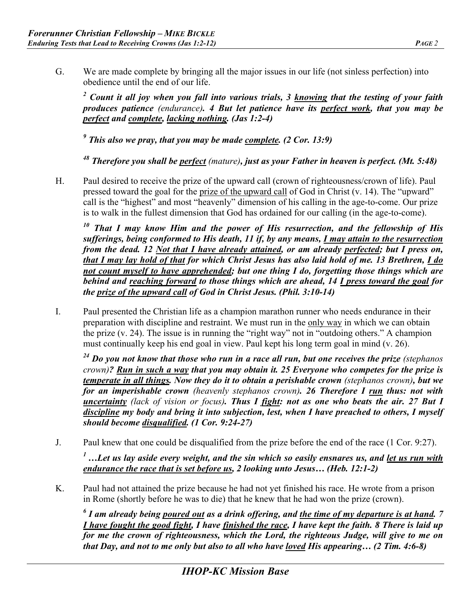G. We are made complete by bringing all the major issues in our life (not sinless perfection) into obedience until the end of our life.

<sup>2</sup> Count it all joy when you fall into various trials, 3 knowing that the testing of your faith *produces patience (endurance). 4 But let patience have its perfect work, that you may be perfect and complete, lacking nothing. (Jas 1:2-4)* 

<sup>9</sup> This also we pray, that you may be made <u>complete</u>. (2 Cor. 13:9)

*48 Therefore you shall be perfect (mature), just as your Father in heaven is perfect. (Mt. 5:48)* 

H. Paul desired to receive the prize of the upward call (crown of righteousness/crown of life). Paul pressed toward the goal for the prize of the upward call of God in Christ (v. 14). The "upward" call is the "highest" and most "heavenly" dimension of his calling in the age-to-come. Our prize is to walk in the fullest dimension that God has ordained for our calling (in the age-to-come).

*10 That I may know Him and the power of His resurrection, and the fellowship of His sufferings, being conformed to His death, 11 if, by any means, I may attain to the resurrection from the dead. 12 Not that I have already attained, or am already perfected; but I press on, that I may lay hold of that for which Christ Jesus has also laid hold of me. 13 Brethren, I do not count myself to have apprehended; but one thing I do, forgetting those things which are behind and reaching forward to those things which are ahead, 14 I press toward the goal for the prize of the upward call of God in Christ Jesus. (Phil. 3:10-14)*

I. Paul presented the Christian life as a champion marathon runner who needs endurance in their preparation with discipline and restraint. We must run in the only way in which we can obtain the prize (v. 24). The issue is in running the "right way" not in "outdoing others." A champion must continually keep his end goal in view. Paul kept his long term goal in mind (v. 26).

<sup>24</sup> Do you not know that those who run in a race all run, but one receives the prize (stephanos *crown)? Run in such a way that you may obtain it. 25 Everyone who competes for the prize is temperate in all things. Now they do it to obtain a perishable crown (stephanos crown), but we for an imperishable crown (heavenly stephanos crown). 26 Therefore I run thus: not with uncertainty (lack of vision or focus). Thus I fight: not as one who beats the air. 27 But I discipline my body and bring it into subjection, lest, when I have preached to others, I myself should become disqualified. (1 Cor. 9:24-27)* 

J. Paul knew that one could be disqualified from the prize before the end of the race (1 Cor. 9:27).

<sup>1</sup> …Let us lay aside every weight, and the sin which so easily ensnares us, and <u>let us run with</u> *endurance the race that is set before us, 2 looking unto Jesus… (Heb. 12:1-2)* 

K. Paul had not attained the prize because he had not yet finished his race. He wrote from a prison in Rome (shortly before he was to die) that he knew that he had won the prize (crown).

*6 I am already being poured out as a drink offering, and the time of my departure is at hand. 7 I have fought the good fight, I have finished the race, I have kept the faith. 8 There is laid up for me the crown of righteousness, which the Lord, the righteous Judge, will give to me on that Day, and not to me only but also to all who have loved His appearing… (2 Tim. 4:6-8)*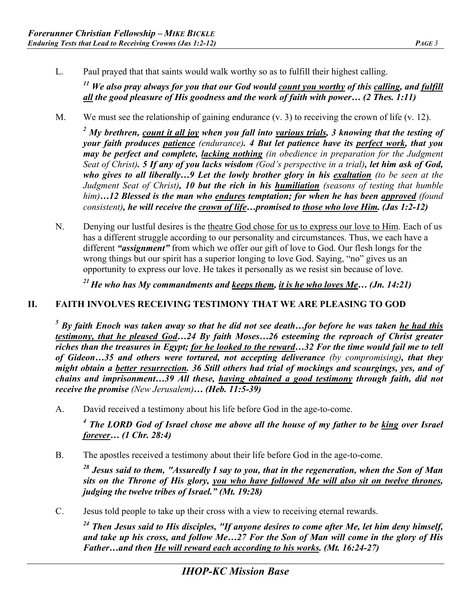L. Paul prayed that that saints would walk worthy so as to fulfill their highest calling.

*11 We also pray always for you that our God would count you worthy of this calling, and fulfill all the good pleasure of His goodness and the work of faith with power… (2 Thes. 1:11)* 

M. We must see the relationship of gaining endurance (v. 3) to receiving the crown of life (v. 12).

<sup>2</sup> My brethren, <u>count it all joy</u> when you fall into <u>various trials</u>, 3 knowing that the testing of *your faith produces patience (endurance). 4 But let patience have its perfect work, that you may be perfect and complete, lacking nothing (in obedience in preparation for the Judgment Seat of Christ). 5 If any of you lacks wisdom (God's perspective in a trial), let him ask of God, who gives to all liberally…9 Let the lowly brother glory in his exaltation (to be seen at the Judgment Seat of Christ), 10 but the rich in his humiliation (seasons of testing that humble him)…12 Blessed is the man who endures temptation; for when he has been approved (found consistent), he will receive the crown of life…promised to those who love Him. (Jas 1:2-12)* 

N. Denying our lustful desires is the theatre God chose for us to express our love to Him. Each of us has a different struggle according to our personality and circumstances. Thus, we each have a different *"assignment"* from which we offer our gift of love to God. Our flesh longs for the wrong things but our spirit has a superior longing to love God. Saying, "no" gives us an opportunity to express our love. He takes it personally as we resist sin because of love.

*21 He who has My commandments and keeps them, it is he who loves Me… (Jn. 14:21)*

## **II. FAITH INVOLVES RECEIVING TESTIMONY THAT WE ARE PLEASING TO GOD**

*5 By faith Enoch was taken away so that he did not see death…for before he was taken he had this testimony, that he pleased God…24 By faith Moses…26 esteeming the reproach of Christ greater riches than the treasures in Egypt; for he looked to the reward…32 For the time would fail me to tell of Gideon…35 and others were tortured, not accepting deliverance (by compromising), that they might obtain a better resurrection. 36 Still others had trial of mockings and scourgings, yes, and of chains and imprisonment…39 All these, having obtained a good testimony through faith, did not receive the promise (New Jerusalem)… (Heb. 11:5-39)* 

A. David received a testimony about his life before God in the age-to-come.

*<sup>4</sup> The LORD God of Israel chose me above all the house of my father to be king over Israel forever… (1 Chr. 28:4)* 

B. The apostles received a testimony about their life before God in the age-to-come.

*28 Jesus said to them, "Assuredly I say to you, that in the regeneration, when the Son of Man sits on the Throne of His glory, you who have followed Me will also sit on twelve thrones, judging the twelve tribes of Israel." (Mt. 19:28)* 

C. Jesus told people to take up their cross with a view to receiving eternal rewards.

*24 Then Jesus said to His disciples, "If anyone desires to come after Me, let him deny himself, and take up his cross, and follow Me…27 For the Son of Man will come in the glory of His Father…and then He will reward each according to his works. (Mt. 16:24-27)*